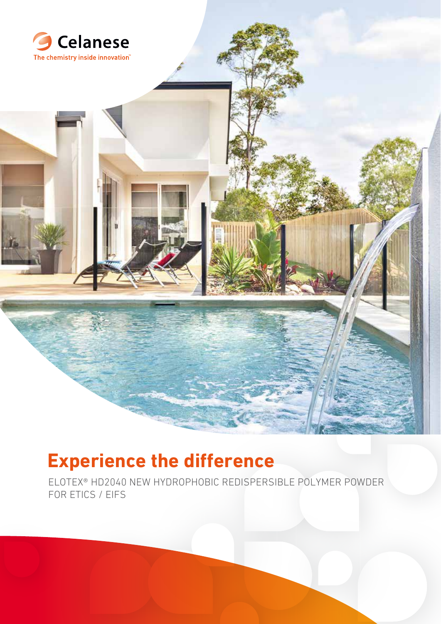

## **Experience the difference**

ELOTEX® HD2040 NEW HYDROPHOBIC REDISPERSIBLE POLYMER POWDER FOR ETICS / EIFS

UIN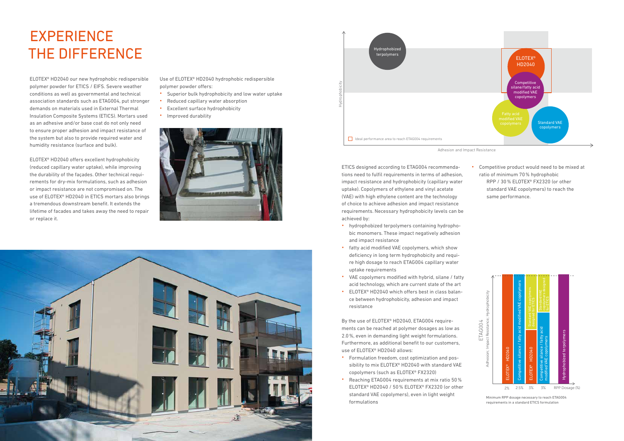ELOTEX® HD2040 our new hydrophobic redispersible polymer powder for ETICS / EIFS. Severe weather conditions as well as governmental and technical association standards such as ETAG004, put stronger demands on materials used in External Thermal Insulation Composite Systems (ETICS). Mortars used as an adhesive and/or base coat do not only need to ensure proper adhesion and impact resistance of the system but also to provide required water and humidity resistance (surface and bulk).

## **EXPERIENCE** THE DIFFERENCE

ELOTEX® HD2040 offers excellent hydrophobicity (reduced capillary water uptake), while improving the durability of the façades. Other technical requirements for dry-mix formulations, such as adhesion or impact resistance are not compromised on. The use of ELOTEX® HD2040 in ETICS mortars also brings a tremendous downstream benefit. It extends the lifetime of facades and takes away the need to repair or replace it.

ETICS designed according to ETAG004 recommendations need to fulfil requirements in terms of adhesion, impact resistance and hydrophobicity (capillary water uptake). Copolymers of ethylene and vinyl acetate (VAE) with high ethylene content are the technology of choice to achieve adhesion and impact resistance requirements. Necessary hydrophobicity levels can be achieved by:

- hydrophobized terpolymers containing hydrophobic monomers. These impact negatively adhesion and impact resistance
- fatty acid modified VAE copolymers, which show deficiency in long term hydrophobicity and require high dosage to reach ETAG004 capillary water uptake requirements
- VAE copolymers modified with hybrid, silane / fatty acid technology, which are current state of the art
- ELOTEX® HD2040 which offers best in class balance between hydrophobicity, adhesion and impact resistance

By the use of ELOTEX® HD2040, ETAG004 requirements can be reached at polymer dosages as low as 2.0%, even in demanding light weight formulations. Furthermore, as additional benefit to our customers, use of ELOTEX® HD2040 allows:

- Formulation freedom, cost optimization and possibility to mix ELOTEX® HD2040 with standard VAE copolymers (such as ELOTEX® FX2320)
- Reaching ETAG004 requirements at mix ratio 50% ELOTEX® HD2040 / 50% ELOTEX® FX2320 (or other standard VAE copolymers), even in light weight formulations

• Competitive product would need to be mixed at ratio of minimum 70% hydrophobic RPP / 30% ELOTEX® FX2320 (or other standard VAE copolymers) to reach the same performance.

Adhesion and Impact Resistance

|                | Hydrophobized                                        |
|----------------|------------------------------------------------------|
|                | terpolymers                                          |
| Hydrophobicity |                                                      |
|                | Ideal performance area to reach ETAG004 requirements |





Minimum RPP dosage necessary to reach ETAG004 requirements in a standard ETICS formulation

Use of ELOTEX® HD2040 hydrophobic redispersible polymer powder offers:

- Superior bulk hydrophobicity and low water uptake
- Reduced capillary water absorption
- Excellent surface hydrophobicity
- Improved durability